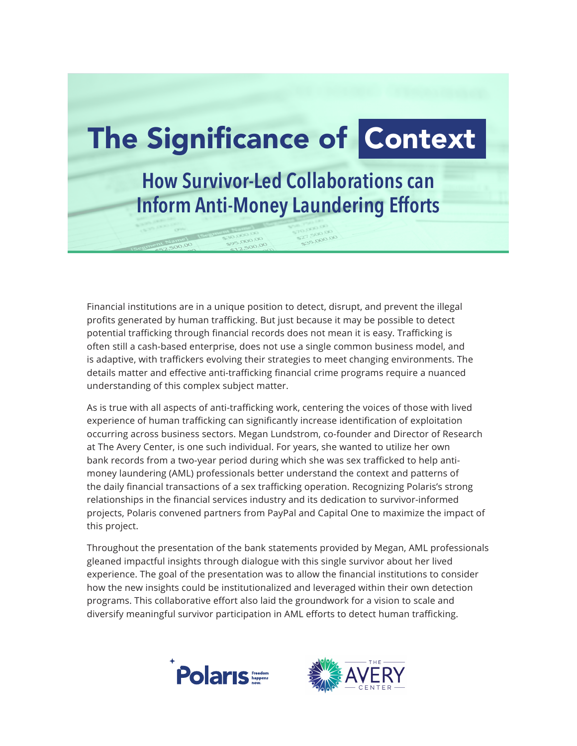

Financial institutions are in a unique position to detect, disrupt, and prevent the illegal profits generated by human trafficking. But just because it may be possible to detect potential trafficking through financial records does not mean it is easy. Trafficking is often still a cash-based enterprise, does not use a single common business model, and is adaptive, with traffickers evolving their strategies to meet changing environments. The details matter and effective anti-trafficking financial crime programs require a nuanced understanding of this complex subject matter.

As is true with all aspects of anti-trafficking work, centering the voices of those with lived experience of human trafficking can significantly increase identification of exploitation occurring across business sectors. Megan Lundstrom, co-founder and Director of Research at The Avery Center, is one such individual. For years, she wanted to utilize her own bank records from a two-year period during which she was sex trafficked to help antimoney laundering (AML) professionals better understand the context and patterns of the daily financial transactions of a sex trafficking operation. Recognizing Polaris's strong relationships in the financial services industry and its dedication to survivor-informed projects, Polaris convened partners from PayPal and Capital One to maximize the impact of this project.

Throughout the presentation of the bank statements provided by Megan, AML professionals gleaned impactful insights through dialogue with this single survivor about her lived experience. The goal of the presentation was to allow the financial institutions to consider how the new insights could be institutionalized and leveraged within their own detection programs. This collaborative effort also laid the groundwork for a vision to scale and diversify meaningful survivor participation in AML efforts to detect human trafficking.



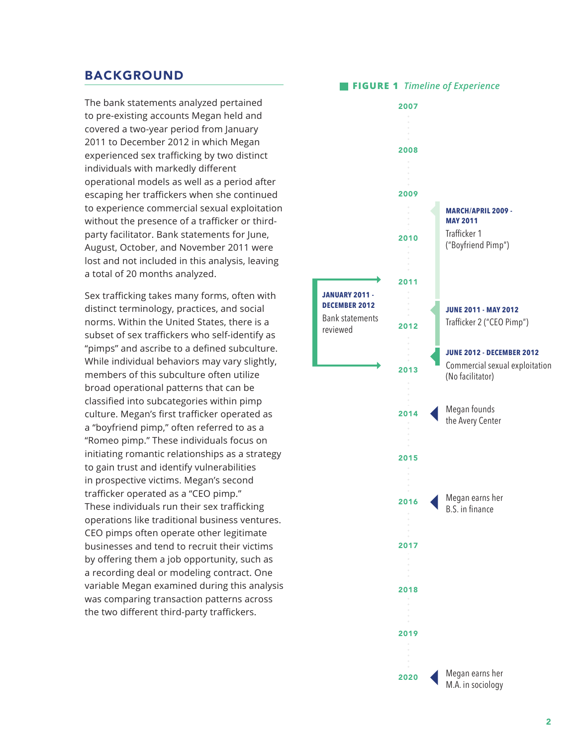## BACKGROUND

The bank statements analyzed pertained to pre-existing accounts Megan held and covered a two-year period from January 2011 to December 2012 in which Megan experienced sex trafficking by two distinct individuals with markedly different operational models as well as a period after escaping her traffickers when she continued to experience commercial sexual exploitation without the presence of a trafficker or thirdparty facilitator. Bank statements for June, August, October, and November 2011 were lost and not included in this analysis, leaving a total of 20 months analyzed.

Sex trafficking takes many forms, often with distinct terminology, practices, and social norms. Within the United States, there is a subset of sex traffickers who self-identify as "pimps" and ascribe to a defined subculture. While individual behaviors may vary slightly, members of this subculture often utilize broad operational patterns that can be classified into subcategories within pimp culture. Megan's first trafficker operated as a "boyfriend pimp," often referred to as a "Romeo pimp." These individuals focus on initiating romantic relationships as a strategy to gain trust and identify vulnerabilities in prospective victims. Megan's second trafficker operated as a "CEO pimp." These individuals run their sex trafficking operations like traditional business ventures. CEO pimps often operate other legitimate businesses and tend to recruit their victims by offering them a job opportunity, such as a recording deal or modeling contract. One variable Megan examined during this analysis was comparing transaction patterns across the two different third-party traffickers.

# **FIGURE 1** *Timeline of Experience*

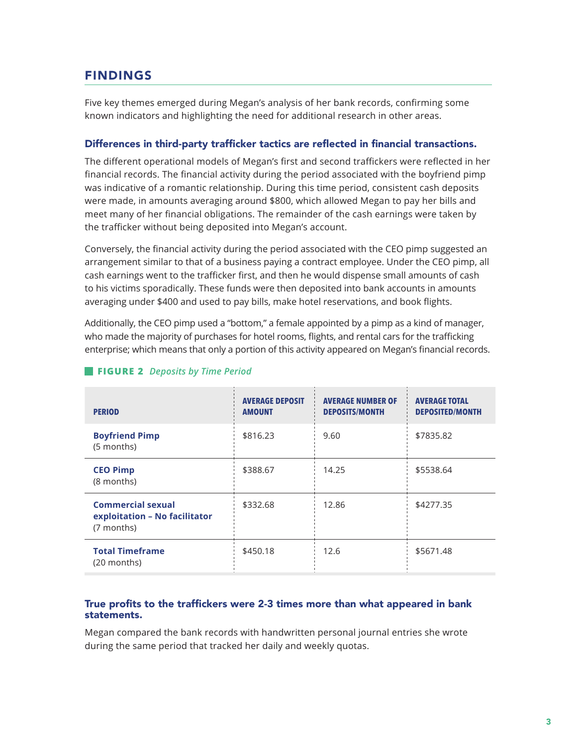# FINDINGS

Five key themes emerged during Megan's analysis of her bank records, confirming some known indicators and highlighting the need for additional research in other areas.

### Differences in third-party trafficker tactics are reflected in financial transactions.

The different operational models of Megan's first and second traffickers were reflected in her financial records. The financial activity during the period associated with the boyfriend pimp was indicative of a romantic relationship. During this time period, consistent cash deposits were made, in amounts averaging around \$800, which allowed Megan to pay her bills and meet many of her financial obligations. The remainder of the cash earnings were taken by the trafficker without being deposited into Megan's account.

Conversely, the financial activity during the period associated with the CEO pimp suggested an arrangement similar to that of a business paying a contract employee. Under the CEO pimp, all cash earnings went to the trafficker first, and then he would dispense small amounts of cash to his victims sporadically. These funds were then deposited into bank accounts in amounts averaging under \$400 and used to pay bills, make hotel reservations, and book flights.

Additionally, the CEO pimp used a "bottom," a female appointed by a pimp as a kind of manager, who made the majority of purchases for hotel rooms, flights, and rental cars for the trafficking enterprise; which means that only a portion of this activity appeared on Megan's financial records.

| <b>PERIOD</b>                                                           | <b>AVERAGE DEPOSIT</b><br><b>AMOUNT</b> | <b>AVERAGE NUMBER OF</b><br><b>DEPOSITS/MONTH</b> | <b>AVERAGE TOTAL</b><br><b>DEPOSITED/MONTH</b> |
|-------------------------------------------------------------------------|-----------------------------------------|---------------------------------------------------|------------------------------------------------|
| <b>Boyfriend Pimp</b><br>(5 months)                                     | \$816.23                                | 9.60                                              | \$7835.82                                      |
| <b>CEO Pimp</b><br>(8 months)                                           | \$388.67                                | 14.25                                             | \$5538.64                                      |
| <b>Commercial sexual</b><br>exploitation - No facilitator<br>(7 months) | \$332.68                                | 12.86                                             | \$4277.35                                      |
| <b>Total Timeframe</b><br>$(20$ months)                                 | \$450.18                                | 12.6                                              | \$5671.48                                      |

### **FIGURE 2** *Deposits by Time Period*

### True profits to the traffickers were 2-3 times more than what appeared in bank statements.

Megan compared the bank records with handwritten personal journal entries she wrote during the same period that tracked her daily and weekly quotas.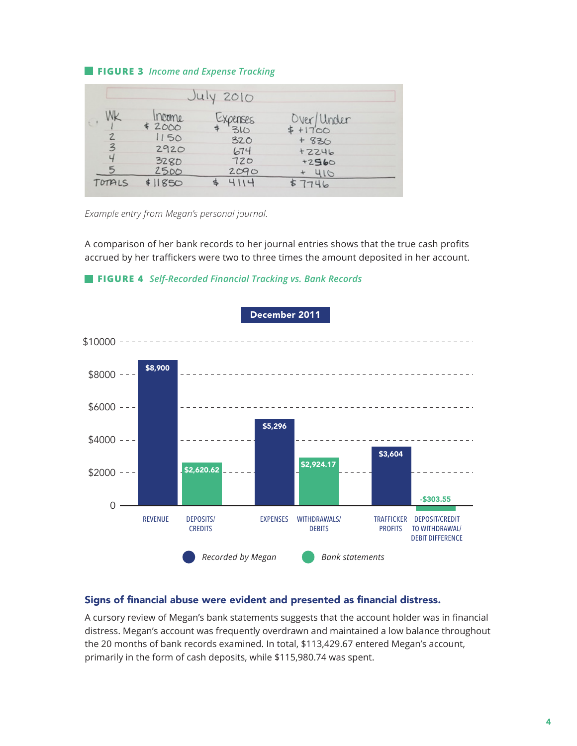#### **FIGURE 3** *Income and Expense Tracking*

|                          |                  | July 2010              |                         |
|--------------------------|------------------|------------------------|-------------------------|
| Мk                       | Income<br>\$2000 | <b>EXPENSES</b><br>310 | Over/Under<br>$$+17'00$ |
| $\mathbb{Z}$             | 1150             | 320                    | $+830$                  |
| $\overline{\mathcal{Z}}$ | 2920             | 674                    | $+2246$                 |
| Ч                        | <b>3280</b>      | 720                    | $+2560$                 |
| 5                        | 2500             | 2090                   | 410                     |
| TOTALS                   | \$11850          | 4114                   | 7746                    |

*Example entry from Megan's personal journal.*

A comparison of her bank records to her journal entries shows that the true cash profits accrued by her traffickers were two to three times the amount deposited in her account.



#### **FIGURE 4** *Self-Recorded Financial Tracking vs. Bank Records*

#### Signs of financial abuse were evident and presented as financial distress.

A cursory review of Megan's bank statements suggests that the account holder was in financial distress. Megan's account was frequently overdrawn and maintained a low balance throughout the 20 months of bank records examined. In total, \$113,429.67 entered Megan's account, primarily in the form of cash deposits, while \$115,980.74 was spent.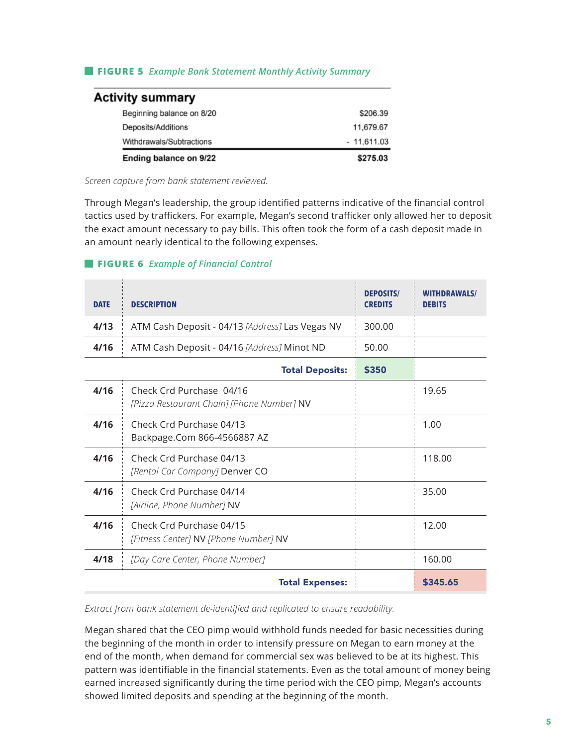### **FIGURE 5** *Example Bank Statement Monthly Activity Summary*

| <b>Activity summary</b>   |              |
|---------------------------|--------------|
| Beginning balance on 8/20 | \$206.39     |
| Deposits/Additions        | 11,679.67    |
| Withdrawals/Subtractions  | $-11,611.03$ |
| Ending balance on 9/22    | \$275.03     |

*Screen capture from bank statement reviewed.*

Through Megan's leadership, the group identified patterns indicative of the financial control tactics used by traffickers. For example, Megan's second trafficker only allowed her to deposit the exact amount necessary to pay bills. This often took the form of a cash deposit made in an amount nearly identical to the following expenses.

#### **FIGURE 6** *Example of Financial Control*

| <b>DATE</b> | <b>DESCRIPTION</b>                                                     | <b>DEPOSITS/</b><br><b>CREDITS</b> | <b>WITHDRAWALS/</b><br><b>DEBITS</b> |
|-------------|------------------------------------------------------------------------|------------------------------------|--------------------------------------|
| 4/13        | ATM Cash Deposit - 04/13 [Address] Las Vegas NV                        | 300.00                             |                                      |
| 4/16        | ATM Cash Deposit - 04/16 [Address] Minot ND                            | 50.00                              |                                      |
|             | <b>Total Deposits:</b>                                                 | \$350                              |                                      |
| 4/16        | Check Crd Purchase 04/16<br>[Pizza Restaurant Chain] [Phone Number] NV |                                    | 19.65                                |
| 4/16        | Check Crd Purchase 04/13<br>Backpage.Com 866-4566887 AZ                |                                    | 1.00                                 |
| 4/16        | Check Crd Purchase 04/13<br>[Rental Car Company] Denver CO             |                                    | 118.00                               |
| 4/16        | Check Crd Purchase 04/14<br>[Airline, Phone Number] NV                 |                                    | 35.00                                |
| 4/16        | Check Crd Purchase 04/15<br>[Fitness Center] NV [Phone Number] NV      |                                    | 12.00                                |
| 4/18        | [Day Care Center, Phone Number]                                        |                                    | 160.00                               |
|             | <b>Total Expenses:</b>                                                 |                                    | \$345.65                             |

*Extract from bank statement de-identified and replicated to ensure readability.*

Megan shared that the CEO pimp would withhold funds needed for basic necessities during the beginning of the month in order to intensify pressure on Megan to earn money at the end of the month, when demand for commercial sex was believed to be at its highest. This pattern was identifiable in the financial statements. Even as the total amount of money being earned increased significantly during the time period with the CEO pimp, Megan's accounts showed limited deposits and spending at the beginning of the month.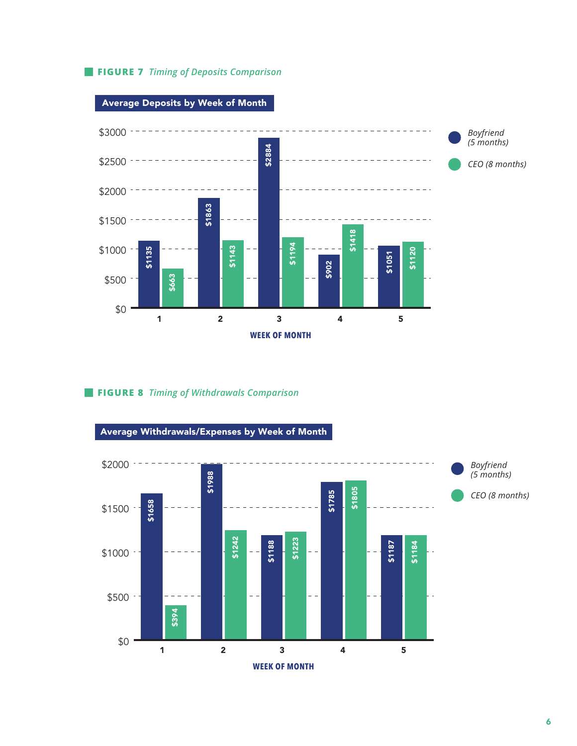**FIGURE 7** *Timing of Deposits Comparison*



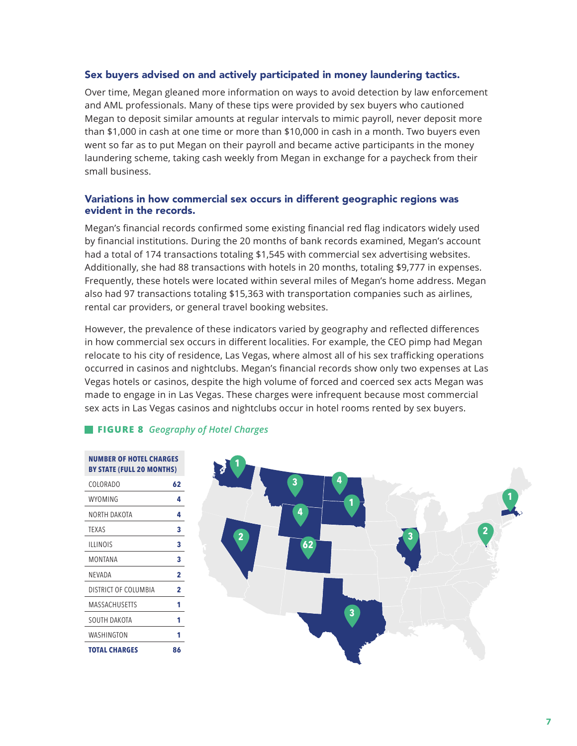#### Sex buyers advised on and actively participated in money laundering tactics.

Over time, Megan gleaned more information on ways to avoid detection by law enforcement and AML professionals. Many of these tips were provided by sex buyers who cautioned Megan to deposit similar amounts at regular intervals to mimic payroll, never deposit more than \$1,000 in cash at one time or more than \$10,000 in cash in a month. Two buyers even went so far as to put Megan on their payroll and became active participants in the money laundering scheme, taking cash weekly from Megan in exchange for a paycheck from their small business.

#### Variations in how commercial sex occurs in different geographic regions was evident in the records.

Megan's financial records confirmed some existing financial red flag indicators widely used by financial institutions. During the 20 months of bank records examined, Megan's account had a total of 174 transactions totaling \$1,545 with commercial sex advertising websites. Additionally, she had 88 transactions with hotels in 20 months, totaling \$9,777 in expenses. Frequently, these hotels were located within several miles of Megan's home address. Megan also had 97 transactions totaling \$15,363 with transportation companies such as airlines, rental car providers, or general travel booking websites.

However, the prevalence of these indicators varied by geography and reflected differences in how commercial sex occurs in different localities. For example, the CEO pimp had Megan relocate to his city of residence, Las Vegas, where almost all of his sex trafficking operations occurred in casinos and nightclubs. Megan's financial records show only two expenses at Las Vegas hotels or casinos, despite the high volume of forced and coerced sex acts Megan was made to engage in in Las Vegas. These charges were infrequent because most commercial sex acts in Las Vegas casinos and nightclubs occur in hotel rooms rented by sex buyers.

## **FIGURE 8** *Geography of Hotel Charges*

| NUMBER OF HOTEL CHARGES<br><b>BY STATE (FULL 20 MONTHS)</b> |                |  |
|-------------------------------------------------------------|----------------|--|
| COLORADO                                                    | 62             |  |
| WYOMING                                                     | 4              |  |
| NORTH DAKOTA                                                | 4              |  |
| <b>TEXAS</b>                                                | 3              |  |
| <b>ILLINOIS</b>                                             | 3              |  |
| MONTANA                                                     | 3              |  |
| NEVADA                                                      | $\overline{2}$ |  |
| DISTRICT OF COLUMBIA                                        | $\overline{2}$ |  |
| MASSACHUSETTS                                               | 1              |  |
| SOUTH DAKOTA                                                | 1              |  |
| WASHINGTON                                                  | 1              |  |
| <b>TOTAL CHARGES</b>                                        | 86             |  |

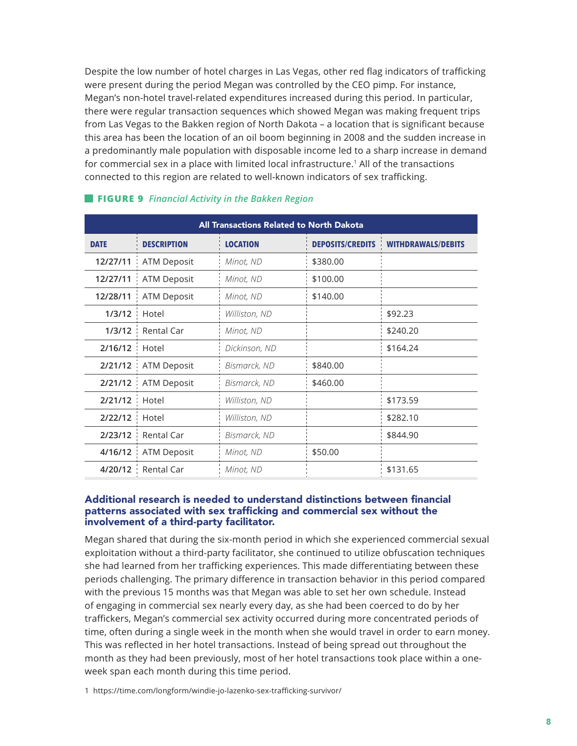Despite the low number of hotel charges in Las Vegas, other red flag indicators of trafficking were present during the period Megan was controlled by the CEO pimp. For instance, Megan's non-hotel travel-related expenditures increased during this period. In particular, there were regular transaction sequences which showed Megan was making frequent trips from Las Vegas to the Bakken region of North Dakota – a location that is significant because this area has been the location of an oil boom beginning in 2008 and the sudden increase in a predominantly male population with disposable income led to a sharp increase in demand for commercial sex in a place with limited local infrastructure. 1 All of the transactions connected to this region are related to well-known indicators of sex trafficking.

| All Transactions Related to North Dakota |                       |                 |                         |                           |
|------------------------------------------|-----------------------|-----------------|-------------------------|---------------------------|
| <b>DATE</b>                              | <b>DESCRIPTION</b>    | <b>LOCATION</b> | <b>DEPOSITS/CREDITS</b> | <b>WITHDRAWALS/DEBITS</b> |
| 12/27/11                                 | ATM Deposit           | Minot, ND       | \$380.00                |                           |
| 12/27/11                                 | <b>ATM Deposit</b>    | Minot, ND       | \$100.00                |                           |
| 12/28/11                                 | ATM Deposit           | Minot, ND       | \$140.00                |                           |
| 1/3/12                                   | Hotel                 | Williston, ND   |                         | \$92.23                   |
|                                          | $1/3/12$ Rental Car   | Minot, ND       |                         | \$240.20                  |
| 2/16/12                                  | : Hotel               | Dickinson, ND   |                         | \$164.24                  |
|                                          | 2/21/12 : ATM Deposit | Bismarck, ND    | \$840.00                |                           |
| 2/21/12                                  | <b>ATM Deposit</b>    | Bismarck, ND    | \$460.00                |                           |
| 2/21/12                                  | Hotel                 | Williston, ND   |                         | \$173.59                  |
| 2/22/12                                  | Hotel                 | Williston, ND   |                         | \$282.10                  |
|                                          | 2/23/12 Rental Car    | Bismarck, ND    |                         | \$844.90                  |
|                                          | 4/16/12   ATM Deposit | Minot, ND       | \$50.00                 |                           |
|                                          | 4/20/12 : Rental Car  | Minot, ND       |                         | \$131.65                  |

#### **FIGURE 9** *Financial Activity in the Bakken Region*

#### Additional research is needed to understand distinctions between financial patterns associated with sex trafficking and commercial sex without the involvement of a third-party facilitator.

Megan shared that during the six-month period in which she experienced commercial sexual exploitation without a third-party facilitator, she continued to utilize obfuscation techniques she had learned from her trafficking experiences. This made differentiating between these periods challenging. The primary difference in transaction behavior in this period compared with the previous 15 months was that Megan was able to set her own schedule. Instead of engaging in commercial sex nearly every day, as she had been coerced to do by her traffickers, Megan's commercial sex activity occurred during more concentrated periods of time, often during a single week in the month when she would travel in order to earn money. This was reflected in her hotel transactions. Instead of being spread out throughout the month as they had been previously, most of her hotel transactions took place within a oneweek span each month during this time period.

1 <https://time.com/longform/windie-jo-lazenko-sex-trafficking-survivor/>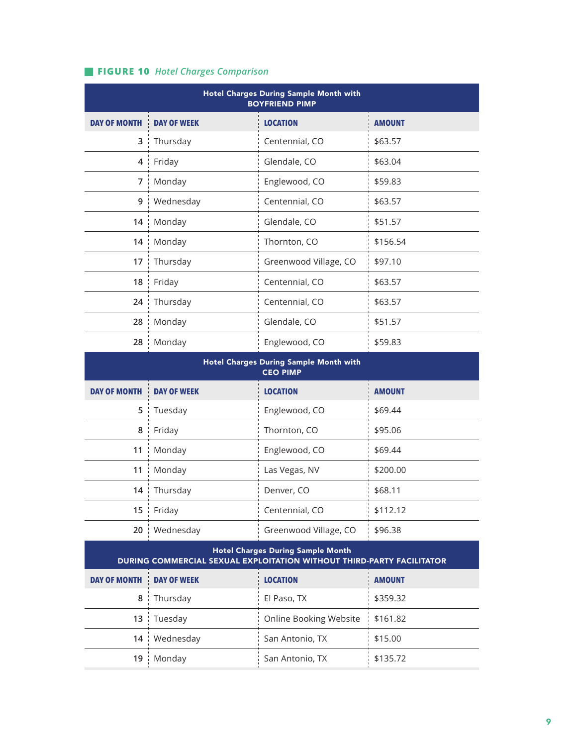# **FIGURE 10** *Hotel Charges Comparison*

| Hotel Charges During Sample Month with<br><b>BOYFRIEND PIMP</b> |                    |                       |               |
|-----------------------------------------------------------------|--------------------|-----------------------|---------------|
| <b>DAY OF MONTH</b>                                             | <b>DAY OF WEEK</b> | <b>LOCATION</b>       | <b>AMOUNT</b> |
| 3                                                               | Thursday           | Centennial, CO        | \$63.57       |
| 4                                                               | Friday             | Glendale, CO          | \$63.04       |
| 7                                                               | Monday             | Englewood, CO         | \$59.83       |
| 9                                                               | Wednesday          | Centennial, CO        | \$63.57       |
| 14                                                              | Monday             | Glendale, CO          | \$51.57       |
| 14                                                              | Monday             | Thornton, CO          | \$156.54      |
| 17                                                              | Thursday           | Greenwood Village, CO | \$97.10       |
| 18 ¦                                                            | Friday             | Centennial, CO        | \$63.57       |
| 24                                                              | Thursday           | Centennial, CO        | \$63.57       |
| 28                                                              | Monday             | Glendale, CO          | \$51.57       |
| 28                                                              | Monday             | Englewood, CO         | \$59.83       |

| <b>Hotel Charges During Sample Month with</b><br><b>CEO PIMP</b> |                    |                       |               |
|------------------------------------------------------------------|--------------------|-----------------------|---------------|
| <b>DAY OF MONTH</b>                                              | <b>DAY OF WEEK</b> | <b>LOCATION</b>       | <b>AMOUNT</b> |
| 5                                                                | Tuesday            | Englewood, CO         | \$69.44       |
| 8                                                                | Friday             | Thornton, CO          | \$95.06       |
| 11                                                               | Monday             | Englewood, CO         | \$69.44       |
| 11<br>- 11                                                       | Monday             | Las Vegas, NV         | \$200.00      |
| 14                                                               | Thursday           | Denver, CO            | \$68.11       |
| 15 <sup>1</sup>                                                  | Friday             | Centennial, CO        | \$112.12      |
| $20$ :                                                           | Wednesday          | Greenwood Village, CO | \$96.38       |

| <b>Hotel Charges During Sample Month</b><br><b>DURING COMMERCIAL SEXUAL EXPLOITATION WITHOUT THIRD-PARTY FACILITATOR</b> |                    |                        |                        |  |
|--------------------------------------------------------------------------------------------------------------------------|--------------------|------------------------|------------------------|--|
| <b>DAY OF MONTH</b>                                                                                                      | <b>DAY OF WEEK</b> | <b>LOCATION</b>        | <b>AMOUNT</b>          |  |
| 8                                                                                                                        | Thursday           | El Paso, TX            | \$359.32               |  |
|                                                                                                                          | $13$ : Tuesday     | Online Booking Website | $\frac{1}{2}$ \$161.82 |  |
|                                                                                                                          | 14 Wednesday       | San Antonio, TX        | \$15.00                |  |
| 19                                                                                                                       | Monday             | San Antonio, TX        | \$135.72               |  |